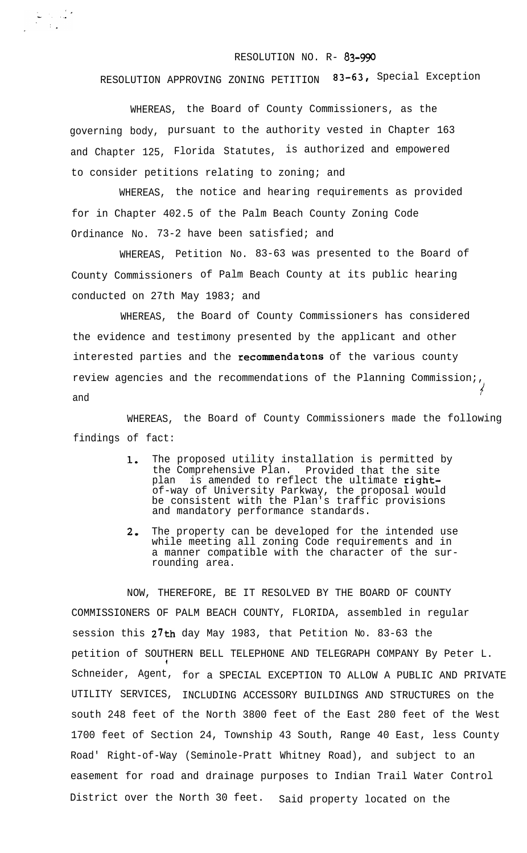## RESOLUTION NO. R- 83-990

## RESOLUTION APPROVING ZONING PETITION 83-63, Special Exception

WHEREAS, the Board of County Commissioners, as the governing body, pursuant to the authority vested in Chapter 163 and Chapter 125, Florida Statutes, is authorized and empowered to consider petitions relating to zoning; and

WHEREAS, the notice and hearing requirements as provided for in Chapter 402.5 of the Palm Beach County Zoning Code Ordinance No. 73-2 have been satisfied; and

WHEREAS, Petition No. 83-63 was presented to the Board of County Commissioners of Palm Beach County at its public hearing conducted on 27th May 1983; and

WHEREAS, the Board of County Commissioners has considered the evidence and testimony presented by the applicant and other interested parties and the recommendatons of the various county review agencies and the recommendations of the Planning Commission;,  $\in$ and

WHEREAS, the Board of County Commissioners made the following findings of fact:

- 1. The proposed utility installation is permitted by the Comprehensive Plan. Provided that the site plan is amended to reflect the ultimate rightof-way of University Parkway, the proposal would be consistent with the Plan's traffic provisions and mandatory performance standards.
- 2. The property can be developed for the intended use while meeting all zoning Code requirements and in a manner compatible with the character of the surrounding area.

NOW, THEREFORE, BE IT RESOLVED BY THE BOARD OF COUNTY COMMISSIONERS OF PALM BEACH COUNTY, FLORIDA, assembled in regular session this  $27th$  day May 1983, that Petition No. 83-63 the petition of SOUTHERN BELL TELEPHONE AND TELEGRAPH COMPANY By Peter L. I Schneider, Agent, for a SPECIAL EXCEPTION TO ALLOW A PUBLIC AND PRIVATE UTILITY SERVICES, INCLUDING ACCESSORY BUILDINGS AND STRUCTURES on the south 248 feet of the North 3800 feet of the East 280 feet of the West 1700 feet of Section 24, Township 43 South, Range 40 East, less County Road' Right-of-Way (Seminole-Pratt Whitney Road), and subject to an easement for road and drainage purposes to Indian Trail Water Control District over the North 30 feet. Said property located on the